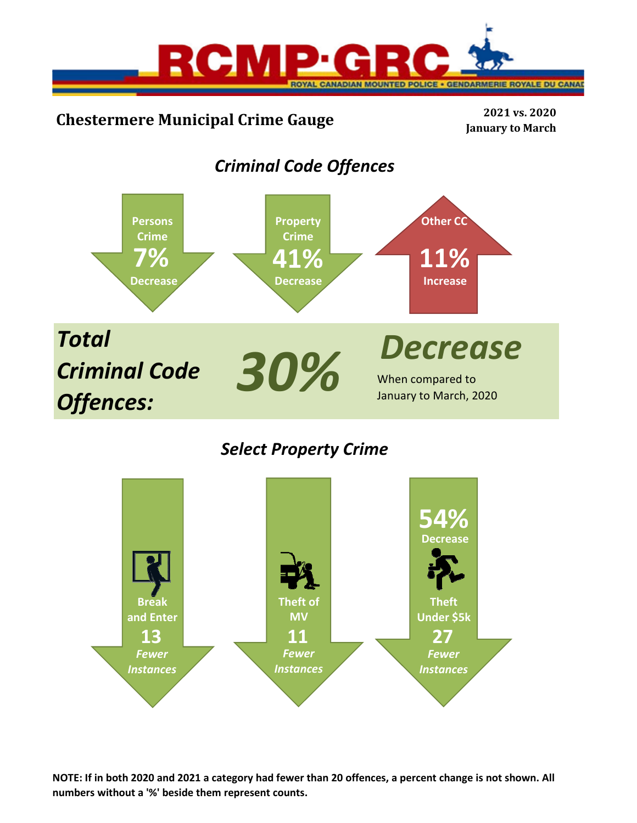

# **Chestermere Municipal Crime Gauge <sup>2021</sup> vs. <sup>2020</sup>**

**January to March**

## *Criminal Code Offences*



## *Select Property Crime*



**NOTE: If in both 2020 and 2021 a category had fewer than 20 offences, a percent change is not shown. All numbers without a '%' beside them represent counts.**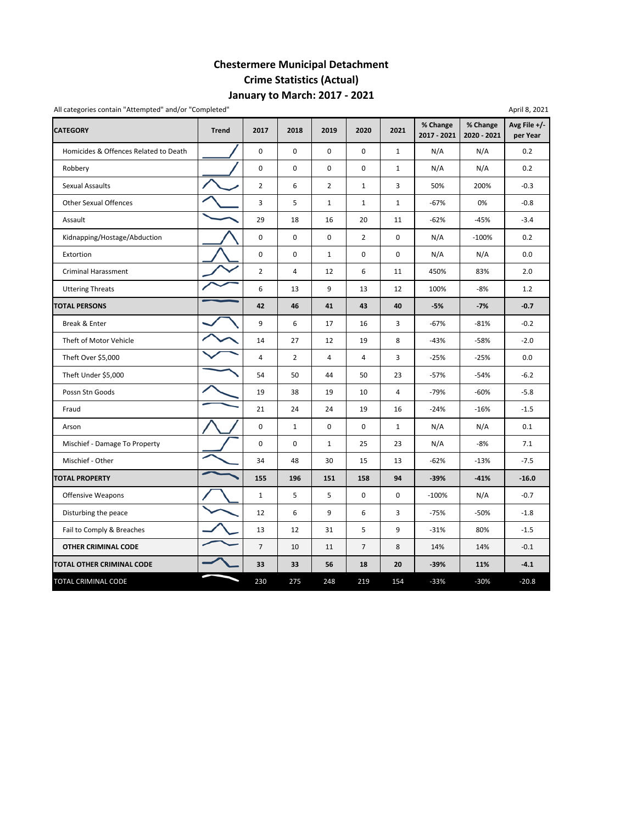## **Chestermere Municipal Detachment Crime Statistics (Actual) January to March: 2017 ‐ 2021**

| All categories contain "Attempted" and/or "Completed" |              |                |                |                |                |                |                         |                         | April 8, 2021            |
|-------------------------------------------------------|--------------|----------------|----------------|----------------|----------------|----------------|-------------------------|-------------------------|--------------------------|
| <b>CATEGORY</b>                                       | <b>Trend</b> | 2017           | 2018           | 2019           | 2020           | 2021           | % Change<br>2017 - 2021 | % Change<br>2020 - 2021 | Avg File +/-<br>per Year |
| Homicides & Offences Related to Death                 |              | $\pmb{0}$      | $\mathbf 0$    | $\mathbf 0$    | $\mathbf 0$    | $\mathbf{1}$   | N/A                     | N/A                     | 0.2                      |
| Robbery                                               |              | 0              | 0              | 0              | 0              | $\mathbf{1}$   | N/A                     | N/A                     | 0.2                      |
| <b>Sexual Assaults</b>                                |              | $\overline{2}$ | 6              | $\overline{2}$ | $\mathbf{1}$   | 3              | 50%                     | 200%                    | $-0.3$                   |
| <b>Other Sexual Offences</b>                          |              | 3              | 5              | $\mathbf 1$    | $\mathbf{1}$   | $\mathbf{1}$   | $-67%$                  | 0%                      | $-0.8$                   |
| Assault                                               |              | 29             | 18             | 16             | 20             | 11             | $-62%$                  | $-45%$                  | $-3.4$                   |
| Kidnapping/Hostage/Abduction                          |              | $\pmb{0}$      | $\pmb{0}$      | $\pmb{0}$      | $\overline{2}$ | 0              | N/A                     | $-100%$                 | 0.2                      |
| Extortion                                             |              | 0              | $\pmb{0}$      | $\mathbf{1}$   | 0              | 0              | N/A                     | N/A                     | 0.0                      |
| <b>Criminal Harassment</b>                            |              | $\overline{2}$ | 4              | 12             | 6              | 11             | 450%                    | 83%                     | 2.0                      |
| <b>Uttering Threats</b>                               |              | 6              | 13             | 9              | 13             | 12             | 100%                    | $-8%$                   | 1.2                      |
| <b>TOTAL PERSONS</b>                                  |              | 42             | 46             | 41             | 43             | 40             | $-5%$                   | $-7%$                   | $-0.7$                   |
| Break & Enter                                         |              | 9              | 6              | 17             | 16             | 3              | $-67%$                  | $-81%$                  | $-0.2$                   |
| Theft of Motor Vehicle                                |              | 14             | 27             | 12             | 19             | 8              | $-43%$                  | $-58%$                  | $-2.0$                   |
| Theft Over \$5,000                                    |              | $\sqrt{4}$     | $\overline{2}$ | $\overline{4}$ | 4              | 3              | $-25%$                  | $-25%$                  | 0.0                      |
| Theft Under \$5,000                                   |              | 54             | 50             | 44             | 50             | 23             | $-57%$                  | $-54%$                  | $-6.2$                   |
| Possn Stn Goods                                       |              | 19             | 38             | 19             | 10             | $\overline{4}$ | $-79%$                  | $-60%$                  | $-5.8$                   |
| Fraud                                                 |              | 21             | 24             | 24             | 19             | 16             | $-24%$                  | $-16%$                  | $-1.5$                   |
| Arson                                                 |              | 0              | $\mathbf{1}$   | 0              | 0              | $\mathbf{1}$   | N/A                     | N/A                     | 0.1                      |
| Mischief - Damage To Property                         |              | 0              | 0              | $\mathbf{1}$   | 25             | 23             | N/A                     | -8%                     | 7.1                      |
| Mischief - Other                                      |              | 34             | 48             | 30             | 15             | 13             | $-62%$                  | $-13%$                  | $-7.5$                   |
| <b>TOTAL PROPERTY</b>                                 |              | 155            | 196            | 151            | 158            | 94             | $-39%$                  | $-41%$                  | $-16.0$                  |
| <b>Offensive Weapons</b>                              |              | $\mathbf 1$    | 5              | 5              | $\mathbf 0$    | 0              | $-100%$                 | N/A                     | $-0.7$                   |
| Disturbing the peace                                  |              | 12             | 6              | 9              | 6              | 3              | $-75%$                  | $-50%$                  | $-1.8$                   |
| Fail to Comply & Breaches                             |              | 13             | 12             | 31             | 5              | 9              | $-31%$                  | 80%                     | $-1.5$                   |
| <b>OTHER CRIMINAL CODE</b>                            |              | $\overline{7}$ | 10             | 11             | $\overline{7}$ | 8              | 14%                     | 14%                     | $-0.1$                   |
| <b>TOTAL OTHER CRIMINAL CODE</b>                      |              | 33             | 33             | 56             | 18             | 20             | $-39%$                  | 11%                     | $-4.1$                   |
| TOTAL CRIMINAL CODE                                   |              | 230            | 275            | 248            | 219            | 154            | $-33%$                  | $-30%$                  | $-20.8$                  |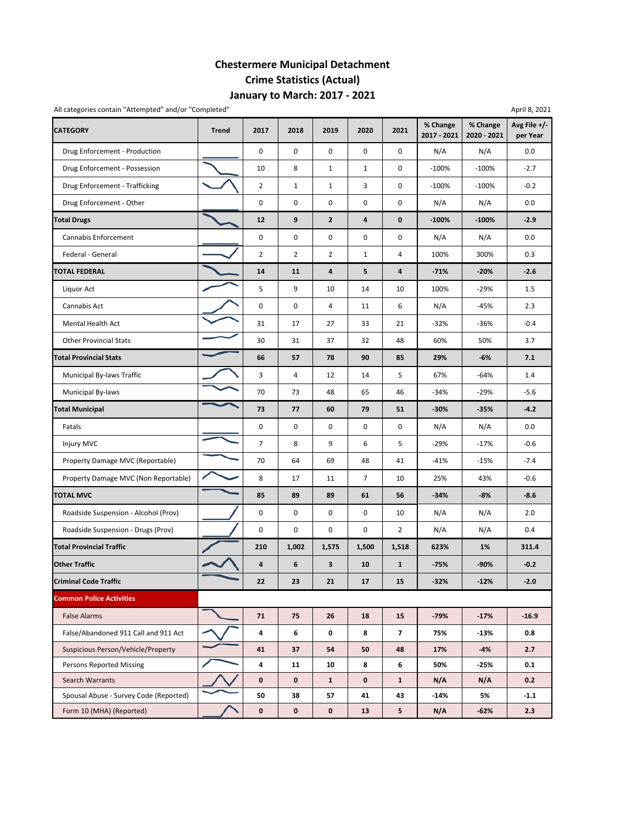## **Chestermere Municipal Detachment Crime Statistics (Actual) January to March: 2017 ‐ 2021**

| All categories contain "Attempted" and/or "Completed" |              |                |                |                |                |                         |                         |                         | April 8, 2021            |
|-------------------------------------------------------|--------------|----------------|----------------|----------------|----------------|-------------------------|-------------------------|-------------------------|--------------------------|
| <b>CATEGORY</b>                                       | <b>Trend</b> | 2017           | 2018           | 2019           | 2020           | 2021                    | % Change<br>2017 - 2021 | % Change<br>2020 - 2021 | Avg File +/-<br>per Year |
| Drug Enforcement - Production                         |              | 0              | 0              | $\mathbf 0$    | $\pmb{0}$      | 0                       | N/A                     | N/A                     | 0.0                      |
| Drug Enforcement - Possession                         |              | 10             | 8              | $\mathbf{1}$   | $\mathbf{1}$   | 0                       | $-100%$                 | $-100%$                 | $-2.7$                   |
| Drug Enforcement - Trafficking                        |              | $\overline{2}$ | $\mathbf{1}$   | $\mathbf 1$    | 3              | 0                       | $-100%$                 | $-100%$                 | $-0.2$                   |
| Drug Enforcement - Other                              |              | $\pmb{0}$      | 0              | $\mathsf 0$    | $\pmb{0}$      | 0                       | N/A                     | N/A                     | 0.0                      |
| <b>Total Drugs</b>                                    |              | 12             | 9              | $\mathbf{2}$   | $\overline{4}$ | 0                       | $-100%$                 | $-100%$                 | $-2.9$                   |
| Cannabis Enforcement                                  |              | $\pmb{0}$      | 0              | $\pmb{0}$      | $\mathbf 0$    | 0                       | N/A                     | N/A                     | 0.0                      |
| Federal - General                                     |              | $\overline{2}$ | $\overline{2}$ | $\overline{2}$ | $\mathbf 1$    | 4                       | 100%                    | 300%                    | 0.3                      |
| <b>TOTAL FEDERAL</b>                                  |              | 14             | 11             | 4              | 5              | 4                       | $-71%$                  | $-20%$                  | $-2.6$                   |
| Liquor Act                                            |              | 5              | 9              | 10             | 14             | 10                      | 100%                    | $-29%$                  | 1.5                      |
| Cannabis Act                                          |              | $\mathbf 0$    | 0              | 4              | 11             | 6                       | N/A                     | -45%                    | 2.3                      |
| Mental Health Act                                     |              | 31             | 17             | 27             | 33             | 21                      | $-32%$                  | $-36%$                  | $-0.4$                   |
| <b>Other Provincial Stats</b>                         |              | 30             | 31             | 37             | 32             | 48                      | 60%                     | 50%                     | 3.7                      |
| <b>Total Provincial Stats</b>                         |              | 66             | 57             | 78             | 90             | 85                      | 29%                     | -6%                     | 7.1                      |
| Municipal By-laws Traffic                             |              | 3              | $\overline{4}$ | 12             | 14             | 5                       | 67%                     | $-64%$                  | 1.4                      |
| Municipal By-laws                                     |              | 70             | 73             | 48             | 65             | 46                      | $-34%$                  | $-29%$                  | $-5.6$                   |
| <b>Total Municipal</b>                                |              | 73             | 77             | 60             | 79             | 51                      | $-30%$                  | $-35%$                  | $-4.2$                   |
| Fatals                                                |              | $\pmb{0}$      | 0              | $\mathsf 0$    | $\pmb{0}$      | 0                       | N/A                     | N/A                     | 0.0                      |
| Injury MVC                                            |              | $\overline{7}$ | 8              | 9              | 6              | 5                       | $-29%$                  | $-17%$                  | $-0.6$                   |
| Property Damage MVC (Reportable)                      |              | 70             | 64             | 69             | 48             | 41                      | $-41%$                  | $-15%$                  | $-7.4$                   |
| Property Damage MVC (Non Reportable)                  |              | 8              | 17             | 11             | $\overline{7}$ | 10                      | 25%                     | 43%                     | $-0.6$                   |
| <b>TOTAL MVC</b>                                      |              | 85             | 89             | 89             | 61             | 56                      | $-34%$                  | $-8%$                   | $-8.6$                   |
| Roadside Suspension - Alcohol (Prov)                  |              | 0              | 0              | 0              | 0              | 10                      | N/A                     | N/A                     | 2.0                      |
| Roadside Suspension - Drugs (Prov)                    |              | 0              | 0              | $\mathsf 0$    | 0              | $\overline{2}$          | N/A                     | N/A                     | 0.4                      |
| <b>Total Provincial Traffic</b>                       |              | 210            | 1,002          | 1,575          | 1,500          | 1,518                   | 623%                    | 1%                      | 311.4                    |
| <b>Other Traffic</b>                                  |              | $\pmb{4}$      | 6              | 3              | 10             | $\mathbf{1}$            | $-75%$                  | -90%                    | $-0.2$                   |
| <b>Criminal Code Traffic</b>                          |              | 22             | 23             | 21             | 17             | 15                      | $-32%$                  | $-12%$                  | $-2.0$                   |
| <b>Common Police Activities</b>                       |              |                |                |                |                |                         |                         |                         |                          |
| <b>False Alarms</b>                                   |              | 71             | 75             | 26             | 18             | 15                      | $-79%$                  | $-17%$                  | $-16.9$                  |
| False/Abandoned 911 Call and 911 Act                  |              | 4              | 6              | 0              | 8              | $\overline{\mathbf{z}}$ | 75%                     | $-13%$                  | 0.8                      |
| Suspicious Person/Vehicle/Property                    |              | 41             | 37             | 54             | 50             | 48                      | 17%                     | $-4%$                   | 2.7                      |
| <b>Persons Reported Missing</b>                       |              | 4              | 11             | 10             | 8              | 6                       | 50%                     | -25%                    | 0.1                      |
| Search Warrants                                       |              | $\mathbf 0$    | 0              | $\mathbf{1}$   | $\pmb{0}$      | $\mathbf{1}$            | N/A                     | N/A                     | 0.2                      |
| Spousal Abuse - Survey Code (Reported)                |              | 50             | 38             | 57             | 41             | 43                      | $-14%$                  | 5%                      | $-1.1$                   |
| Form 10 (MHA) (Reported)                              |              | $\mathbf 0$    | 0              | $\mathbf 0$    | 13             | 5                       | N/A                     | $-62%$                  | 2.3                      |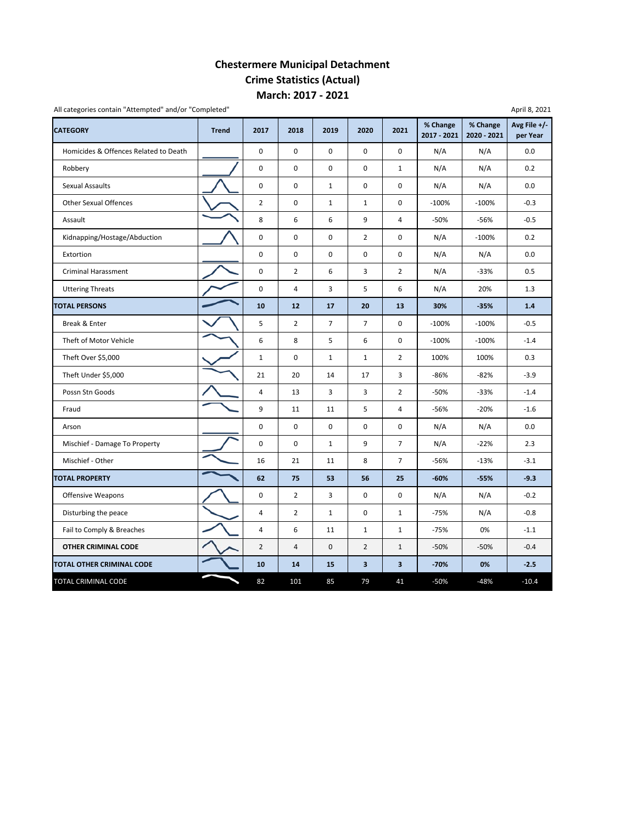### **Chestermere Municipal Detachment Crime Statistics (Actual) March: 2017 ‐ 2021**

| <b>CATEGORY</b>                       | <b>Trend</b> | 2017           | 2018           | 2019           | 2020           | 2021           | % Change<br>2017 - 2021 | % Change<br>2020 - 2021 | Avg File +/-<br>per Year |
|---------------------------------------|--------------|----------------|----------------|----------------|----------------|----------------|-------------------------|-------------------------|--------------------------|
| Homicides & Offences Related to Death |              | $\mathbf 0$    | $\mathbf 0$    | $\Omega$       | $\mathbf 0$    | 0              | N/A                     | N/A                     | 0.0                      |
| Robbery                               |              | 0              | $\pmb{0}$      | $\mathsf 0$    | $\mathbf 0$    | $\mathbf{1}$   | N/A                     | N/A                     | 0.2                      |
| Sexual Assaults                       |              | $\mathbf 0$    | $\mathbf 0$    | $\mathbf{1}$   | $\mathbf 0$    | 0              | N/A                     | N/A                     | 0.0                      |
| <b>Other Sexual Offences</b>          |              | $\overline{2}$ | $\pmb{0}$      | $\mathbf{1}$   | $\mathbf{1}$   | $\pmb{0}$      | $-100%$                 | $-100%$                 | $-0.3$                   |
| Assault                               |              | 8              | 6              | 6              | 9              | $\overline{4}$ | $-50%$                  | $-56%$                  | $-0.5$                   |
| Kidnapping/Hostage/Abduction          |              | 0              | $\pmb{0}$      | $\pmb{0}$      | $\overline{2}$ | 0              | N/A                     | $-100%$                 | 0.2                      |
| Extortion                             |              | 0              | $\pmb{0}$      | $\pmb{0}$      | 0              | 0              | N/A                     | N/A                     | 0.0                      |
| <b>Criminal Harassment</b>            |              | $\mathbf 0$    | $\overline{2}$ | 6              | 3              | $\overline{2}$ | N/A                     | $-33%$                  | 0.5                      |
| <b>Uttering Threats</b>               |              | 0              | $\overline{4}$ | 3              | 5              | 6              | N/A                     | 20%                     | 1.3                      |
| <b>TOTAL PERSONS</b>                  |              | 10             | 12             | 17             | 20             | 13             | 30%                     | $-35%$                  | 1.4                      |
| Break & Enter                         |              | 5              | $\overline{2}$ | $\overline{7}$ | $\overline{7}$ | $\mathbf 0$    | $-100%$                 | $-100%$                 | $-0.5$                   |
| Theft of Motor Vehicle                |              | 6              | 8              | 5              | 6              | 0              | $-100%$                 | $-100%$                 | $-1.4$                   |
| Theft Over \$5,000                    |              | $\mathbf 1$    | $\pmb{0}$      | $\mathbf{1}$   | $\mathbf{1}$   | $\overline{2}$ | 100%                    | 100%                    | 0.3                      |
| Theft Under \$5,000                   |              | 21             | 20             | 14             | 17             | 3              | $-86%$                  | $-82%$                  | $-3.9$                   |
| Possn Stn Goods                       |              | 4              | 13             | 3              | 3              | $\overline{2}$ | $-50%$                  | $-33%$                  | $-1.4$                   |
| Fraud                                 |              | 9              | 11             | 11             | 5              | 4              | $-56%$                  | $-20%$                  | $-1.6$                   |
| Arson                                 |              | $\mathbf 0$    | $\mathbf 0$    | $\mathbf 0$    | 0              | $\mathbf 0$    | N/A                     | N/A                     | 0.0                      |
| Mischief - Damage To Property         |              | 0              | $\mathbf 0$    | $\mathbf{1}$   | 9              | $\overline{7}$ | N/A                     | $-22%$                  | 2.3                      |
| Mischief - Other                      |              | 16             | 21             | 11             | 8              | $\overline{7}$ | $-56%$                  | $-13%$                  | $-3.1$                   |
| <b>TOTAL PROPERTY</b>                 |              | 62             | 75             | 53             | 56             | 25             | $-60%$                  | $-55%$                  | $-9.3$                   |
| Offensive Weapons                     |              | 0              | $\overline{2}$ | 3              | $\pmb{0}$      | $\pmb{0}$      | N/A                     | N/A                     | $-0.2$                   |
| Disturbing the peace                  |              | $\overline{4}$ | $\overline{2}$ | $\mathbf 1$    | 0              | $\mathbf 1$    | $-75%$                  | N/A                     | $-0.8$                   |
| Fail to Comply & Breaches             |              | 4              | 6              | 11             | $\mathbf{1}$   | $\mathbf{1}$   | $-75%$                  | 0%                      | $-1.1$                   |
| <b>OTHER CRIMINAL CODE</b>            |              | $\overline{2}$ | $\overline{4}$ | $\mathbf 0$    | $\overline{2}$ | $\mathbf{1}$   | $-50%$                  | $-50%$                  | $-0.4$                   |
| TOTAL OTHER CRIMINAL CODE             |              | 10             | 14             | 15             | 3              | 3              | $-70%$                  | 0%                      | $-2.5$                   |
| <b>TOTAL CRIMINAL CODE</b>            |              | 82             | 101            | 85             | 79             | 41             | $-50%$                  | $-48%$                  | $-10.4$                  |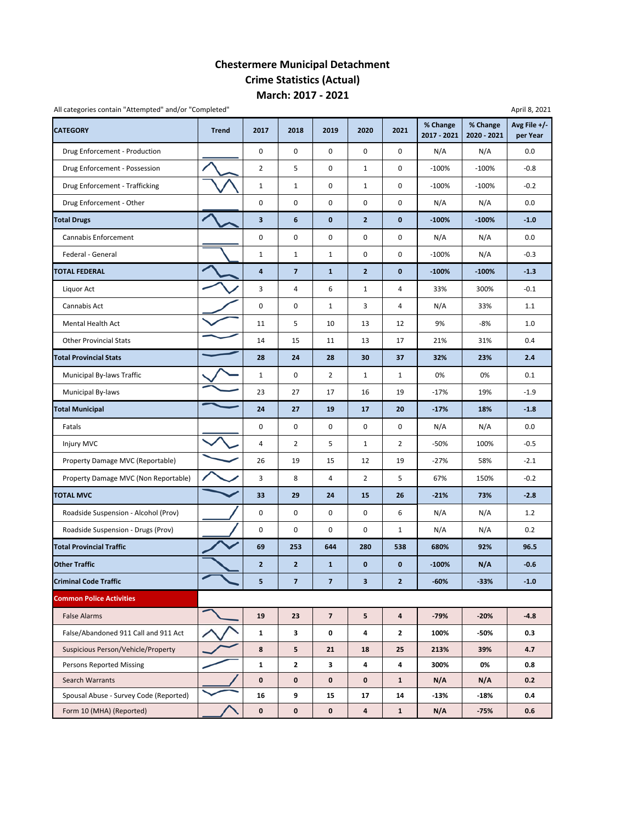### **Chestermere Municipal Detachment Crime Statistics (Actual) March: 2017 ‐ 2021**

| All categories contain "Attempted" and/or "Completed" |              |                         |                         |                |                         |                         |                         |                         | April 8, 2021            |
|-------------------------------------------------------|--------------|-------------------------|-------------------------|----------------|-------------------------|-------------------------|-------------------------|-------------------------|--------------------------|
| <b>CATEGORY</b>                                       | <b>Trend</b> | 2017                    | 2018                    | 2019           | 2020                    | 2021                    | % Change<br>2017 - 2021 | % Change<br>2020 - 2021 | Avg File +/-<br>per Year |
| Drug Enforcement - Production                         |              | 0                       | 0                       | $\mathbf 0$    | $\pmb{0}$               | 0                       | N/A                     | N/A                     | 0.0                      |
| Drug Enforcement - Possession                         |              | $\overline{2}$          | 5                       | $\pmb{0}$      | $\mathbf{1}$            | 0                       | $-100%$                 | $-100%$                 | $-0.8$                   |
| Drug Enforcement - Trafficking                        |              | $\mathbf 1$             | $\mathbf{1}$            | $\mathsf 0$    | $\mathbf 1$             | 0                       | $-100%$                 | $-100%$                 | $-0.2$                   |
| Drug Enforcement - Other                              |              | $\pmb{0}$               | 0                       | $\mathsf 0$    | $\pmb{0}$               | 0                       | N/A                     | N/A                     | 0.0                      |
| <b>Total Drugs</b>                                    |              | $\overline{\mathbf{3}}$ | 6                       | $\mathbf{0}$   | $\overline{2}$          | 0                       | $-100%$                 | $-100%$                 | $-1.0$                   |
| Cannabis Enforcement                                  |              | $\pmb{0}$               | 0                       | $\pmb{0}$      | 0                       | 0                       | N/A                     | N/A                     | 0.0                      |
| Federal - General                                     |              | $\mathbf 1$             | $\mathbf{1}$            | $\mathbf{1}$   | $\pmb{0}$               | 0                       | $-100%$                 | N/A                     | $-0.3$                   |
| TOTAL FEDERAL                                         |              | 4                       | $\overline{\mathbf{z}}$ | $\mathbf{1}$   | $\overline{2}$          | 0                       | $-100%$                 | $-100%$                 | $-1.3$                   |
| Liquor Act                                            |              | 3                       | 4                       | 6              | $\mathbf{1}$            | 4                       | 33%                     | 300%                    | $-0.1$                   |
| Cannabis Act                                          |              | $\pmb{0}$               | 0                       | $\mathbf{1}$   | 3                       | 4                       | N/A                     | 33%                     | 1.1                      |
| Mental Health Act                                     |              | 11                      | 5                       | 10             | 13                      | 12                      | 9%                      | -8%                     | 1.0                      |
| <b>Other Provincial Stats</b>                         |              | 14                      | 15                      | 11             | 13                      | 17                      | 21%                     | 31%                     | 0.4                      |
| <b>Total Provincial Stats</b>                         |              | 28                      | 24                      | 28             | 30                      | 37                      | 32%                     | 23%                     | 2.4                      |
| Municipal By-laws Traffic                             |              | $\mathbf{1}$            | 0                       | $\overline{2}$ | $\mathbf{1}$            | $\mathbf{1}$            | 0%                      | 0%                      | 0.1                      |
| Municipal By-laws                                     |              | 23                      | 27                      | 17             | 16                      | 19                      | $-17%$                  | 19%                     | $-1.9$                   |
| <b>Total Municipal</b>                                |              | 24                      | 27                      | 19             | 17                      | 20                      | $-17%$                  | 18%                     | $-1.8$                   |
| Fatals                                                |              | $\pmb{0}$               | 0                       | $\mathsf 0$    | $\pmb{0}$               | 0                       | N/A                     | N/A                     | 0.0                      |
| Injury MVC                                            |              | $\overline{4}$          | 2                       | 5              | $\mathbf 1$             | $\overline{2}$          | $-50%$                  | 100%                    | $-0.5$                   |
| Property Damage MVC (Reportable)                      |              | 26                      | 19                      | 15             | 12                      | 19                      | $-27%$                  | 58%                     | $-2.1$                   |
| Property Damage MVC (Non Reportable)                  |              | 3                       | 8                       | 4              | $\overline{2}$          | 5                       | 67%                     | 150%                    | $-0.2$                   |
| <b>TOTAL MVC</b>                                      |              | 33                      | 29                      | 24             | 15                      | 26                      | $-21%$                  | 73%                     | $-2.8$                   |
| Roadside Suspension - Alcohol (Prov)                  |              | $\pmb{0}$               | 0                       | 0              | 0                       | 6                       | N/A                     | N/A                     | 1.2                      |
| Roadside Suspension - Drugs (Prov)                    |              | $\pmb{0}$               | 0                       | $\mathsf 0$    | $\pmb{0}$               | $\mathbf{1}$            | N/A                     | N/A                     | 0.2                      |
| <b>Total Provincial Traffic</b>                       |              | 69                      | 253                     | 644            | 280                     | 538                     | 680%                    | 92%                     | 96.5                     |
| <b>Other Traffic</b>                                  |              | $\overline{2}$          | $\mathbf 2$             | $\mathbf{1}$   | $\bf{0}$                | 0                       | $-100%$                 | N/A                     | $-0.6$                   |
| <b>Criminal Code Traffic</b>                          |              | 5                       | $\overline{7}$          | $\overline{7}$ | $\overline{\mathbf{3}}$ | $\mathbf{2}$            | $-60%$                  | $-33%$                  | $-1.0$                   |
| <b>Common Police Activities</b>                       |              |                         |                         |                |                         |                         |                         |                         |                          |
| <b>False Alarms</b>                                   |              | 19                      | 23                      | $\overline{7}$ | $5\phantom{a}$          | $\overline{\mathbf{4}}$ | $-79%$                  | $-20%$                  | $-4.8$                   |
| False/Abandoned 911 Call and 911 Act                  |              | $\mathbf 1$             | 3                       | 0              | 4                       | 2                       | 100%                    | -50%                    | 0.3                      |
| Suspicious Person/Vehicle/Property                    |              | 8                       | 5                       | 21             | 18                      | 25                      | 213%                    | 39%                     | 4.7                      |
| <b>Persons Reported Missing</b>                       |              | $\mathbf{1}$            | $\mathbf{2}$            | 3              | 4                       | 4                       | 300%                    | 0%                      | 0.8                      |
| Search Warrants                                       |              | $\pmb{0}$               | 0                       | $\mathbf 0$    | $\pmb{0}$               | $\mathbf{1}$            | N/A                     | N/A                     | 0.2                      |
| Spousal Abuse - Survey Code (Reported)                |              | 16                      | 9                       | 15             | 17                      | 14                      | $-13%$                  | $-18%$                  | 0.4                      |
| Form 10 (MHA) (Reported)                              |              | $\pmb{0}$               | 0                       | $\mathbf 0$    | $\overline{\mathbf{a}}$ | $\mathbf{1}$            | N/A                     | $-75%$                  | 0.6                      |